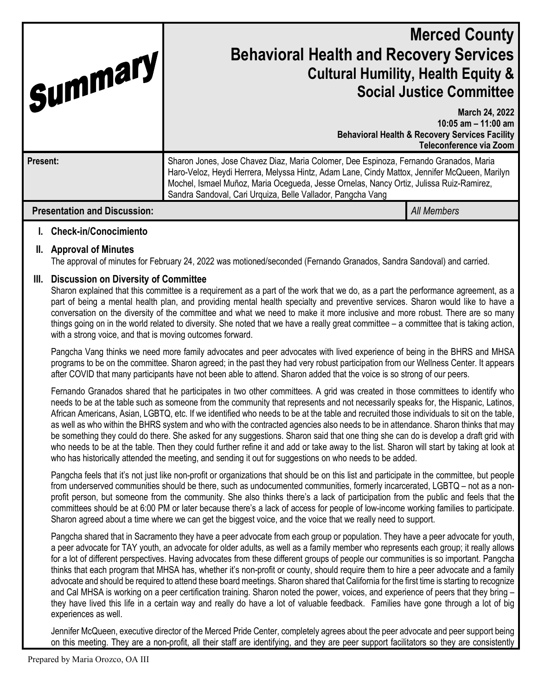| Summary                             | <b>Merced County</b><br><b>Behavioral Health and Recovery Services</b><br><b>Cultural Humility, Health Equity &amp;</b><br><b>Social Justice Committee</b>                                                                                                                                                                                      |                                                                                                                                 |
|-------------------------------------|-------------------------------------------------------------------------------------------------------------------------------------------------------------------------------------------------------------------------------------------------------------------------------------------------------------------------------------------------|---------------------------------------------------------------------------------------------------------------------------------|
|                                     |                                                                                                                                                                                                                                                                                                                                                 | March 24, 2022<br>10:05 am $-$ 11:00 am<br><b>Behavioral Health &amp; Recovery Services Facility</b><br>Teleconference via Zoom |
| Present:                            | Sharon Jones, Jose Chavez Diaz, Maria Colomer, Dee Espinoza, Fernando Granados, Maria<br>Haro-Veloz, Heydi Herrera, Melyssa Hintz, Adam Lane, Cindy Mattox, Jennifer McQueen, Marilyn<br>Mochel, Ismael Muñoz, Maria Ocegueda, Jesse Ornelas, Nancy Ortiz, Julissa Ruiz-Ramirez,<br>Sandra Sandoval, Cari Urquiza, Belle Vallador, Pangcha Vang |                                                                                                                                 |
| <b>Presentation and Discussion:</b> |                                                                                                                                                                                                                                                                                                                                                 | <b>All Members</b>                                                                                                              |

## **I. Check-in/Conocimiento**

#### **II. Approval of Minutes**

The approval of minutes for February 24, 2022 was motioned/seconded (Fernando Granados, Sandra Sandoval) and carried.

#### **III. Discussion on Diversity of Committee**

Sharon explained that this committee is a requirement as a part of the work that we do, as a part the performance agreement, as a part of being a mental health plan, and providing mental health specialty and preventive services. Sharon would like to have a conversation on the diversity of the committee and what we need to make it more inclusive and more robust. There are so many things going on in the world related to diversity. She noted that we have a really great committee – a committee that is taking action, with a strong voice, and that is moving outcomes forward.

Pangcha Vang thinks we need more family advocates and peer advocates with lived experience of being in the BHRS and MHSA programs to be on the committee. Sharon agreed; in the past they had very robust participation from our Wellness Center. It appears after COVID that many participants have not been able to attend. Sharon added that the voice is so strong of our peers.

Fernando Granados shared that he participates in two other committees. A grid was created in those committees to identify who needs to be at the table such as someone from the community that represents and not necessarily speaks for, the Hispanic, Latinos, African Americans, Asian, LGBTQ, etc. If we identified who needs to be at the table and recruited those individuals to sit on the table, as well as who within the BHRS system and who with the contracted agencies also needs to be in attendance. Sharon thinks that may be something they could do there. She asked for any suggestions. Sharon said that one thing she can do is develop a draft grid with who needs to be at the table. Then they could further refine it and add or take away to the list. Sharon will start by taking at look at who has historically attended the meeting, and sending it out for suggestions on who needs to be added.

Pangcha feels that it's not just like non-profit or organizations that should be on this list and participate in the committee, but people from underserved communities should be there, such as undocumented communities, formerly incarcerated, LGBTQ – not as a nonprofit person, but someone from the community. She also thinks there's a lack of participation from the public and feels that the committees should be at 6:00 PM or later because there's a lack of access for people of low-income working families to participate. Sharon agreed about a time where we can get the biggest voice, and the voice that we really need to support.

Pangcha shared that in Sacramento they have a peer advocate from each group or population. They have a peer advocate for youth, a peer advocate for TAY youth, an advocate for older adults, as well as a family member who represents each group; it really allows for a lot of different perspectives. Having advocates from these different groups of people our communities is so important. Pangcha thinks that each program that MHSA has, whether it's non-profit or county, should require them to hire a peer advocate and a family advocate and should be required to attend these board meetings. Sharon shared that California for the first time is starting to recognize and Cal MHSA is working on a peer certification training. Sharon noted the power, voices, and experience of peers that they bring – they have lived this life in a certain way and really do have a lot of valuable feedback. Families have gone through a lot of big experiences as well.

Jennifer McQueen, executive director of the Merced Pride Center, completely agrees about the peer advocate and peer support being on this meeting. They are a non-profit, all their staff are identifying, and they are peer support facilitators so they are consistently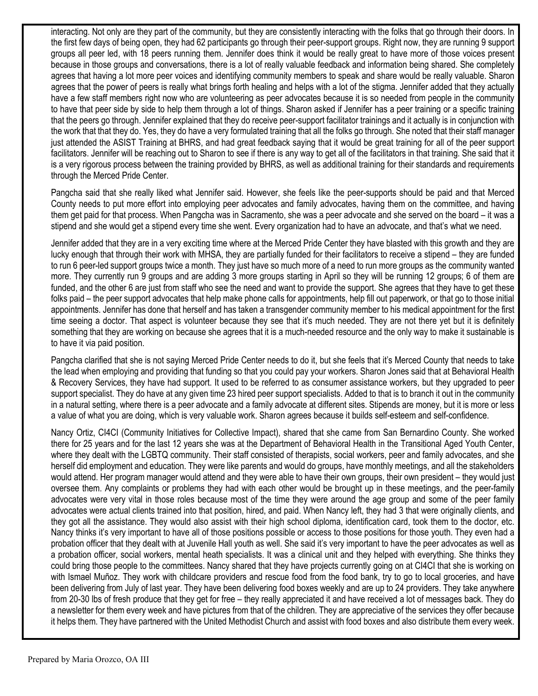interacting. Not only are they part of the community, but they are consistently interacting with the folks that go through their doors. In the first few days of being open, they had 62 participants go through their peer-support groups. Right now, they are running 9 support groups all peer led, with 18 peers running them. Jennifer does think it would be really great to have more of those voices present because in those groups and conversations, there is a lot of really valuable feedback and information being shared. She completely agrees that having a lot more peer voices and identifying community members to speak and share would be really valuable. Sharon agrees that the power of peers is really what brings forth healing and helps with a lot of the stigma. Jennifer added that they actually have a few staff members right now who are volunteering as peer advocates because it is so needed from people in the community to have that peer side by side to help them through a lot of things. Sharon asked if Jennifer has a peer training or a specific training that the peers go through. Jennifer explained that they do receive peer-support facilitator trainings and it actually is in conjunction with the work that that they do. Yes, they do have a very formulated training that all the folks go through. She noted that their staff manager just attended the ASIST Training at BHRS, and had great feedback saying that it would be great training for all of the peer support facilitators. Jennifer will be reaching out to Sharon to see if there is any way to get all of the facilitators in that training. She said that it is a very rigorous process between the training provided by BHRS, as well as additional training for their standards and requirements through the Merced Pride Center.

Pangcha said that she really liked what Jennifer said. However, she feels like the peer-supports should be paid and that Merced County needs to put more effort into employing peer advocates and family advocates, having them on the committee, and having them get paid for that process. When Pangcha was in Sacramento, she was a peer advocate and she served on the board – it was a stipend and she would get a stipend every time she went. Every organization had to have an advocate, and that's what we need.

Jennifer added that they are in a very exciting time where at the Merced Pride Center they have blasted with this growth and they are lucky enough that through their work with MHSA, they are partially funded for their facilitators to receive a stipend – they are funded to run 6 peer-led support groups twice a month. They just have so much more of a need to run more groups as the community wanted more. They currently run 9 groups and are adding 3 more groups starting in April so they will be running 12 groups; 6 of them are funded, and the other 6 are just from staff who see the need and want to provide the support. She agrees that they have to get these folks paid – the peer support advocates that help make phone calls for appointments, help fill out paperwork, or that go to those initial appointments. Jennifer has done that herself and has taken a transgender community member to his medical appointment for the first time seeing a doctor. That aspect is volunteer because they see that it's much needed. They are not there yet but it is definitely something that they are working on because she agrees that it is a much-needed resource and the only way to make it sustainable is to have it via paid position.

Pangcha clarified that she is not saying Merced Pride Center needs to do it, but she feels that it's Merced County that needs to take the lead when employing and providing that funding so that you could pay your workers. Sharon Jones said that at Behavioral Health & Recovery Services, they have had support. It used to be referred to as consumer assistance workers, but they upgraded to peer support specialist. They do have at any given time 23 hired peer support specialists. Added to that is to branch it out in the community in a natural setting, where there is a peer advocate and a family advocate at different sites. Stipends are money, but it is more or less a value of what you are doing, which is very valuable work. Sharon agrees because it builds self-esteem and self-confidence.

Nancy Ortiz, CI4CI (Community Initiatives for Collective Impact), shared that she came from San Bernardino County. She worked there for 25 years and for the last 12 years she was at the Department of Behavioral Health in the Transitional Aged Youth Center, where they dealt with the LGBTQ community. Their staff consisted of therapists, social workers, peer and family advocates, and she herself did employment and education. They were like parents and would do groups, have monthly meetings, and all the stakeholders would attend. Her program manager would attend and they were able to have their own groups, their own president – they would just oversee them. Any complaints or problems they had with each other would be brought up in these meetings, and the peer-family advocates were very vital in those roles because most of the time they were around the age group and some of the peer family advocates were actual clients trained into that position, hired, and paid. When Nancy left, they had 3 that were originally clients, and they got all the assistance. They would also assist with their high school diploma, identification card, took them to the doctor, etc. Nancy thinks it's very important to have all of those positions possible or access to those positions for those youth. They even had a probation officer that they dealt with at Juvenile Hall youth as well. She said it's very important to have the peer advocates as well as a probation officer, social workers, mental heath specialists. It was a clinical unit and they helped with everything. She thinks they could bring those people to the committees. Nancy shared that they have projects currently going on at CI4CI that she is working on with Ismael Muñoz. They work with childcare providers and rescue food from the food bank, try to go to local groceries, and have been delivering from July of last year. They have been delivering food boxes weekly and are up to 24 providers. They take anywhere from 20-30 lbs of fresh produce that they get for free – they really appreciated it and have received a lot of messages back. They do a newsletter for them every week and have pictures from that of the children. They are appreciative of the services they offer because it helps them. They have partnered with the United Methodist Church and assist with food boxes and also distribute them every week.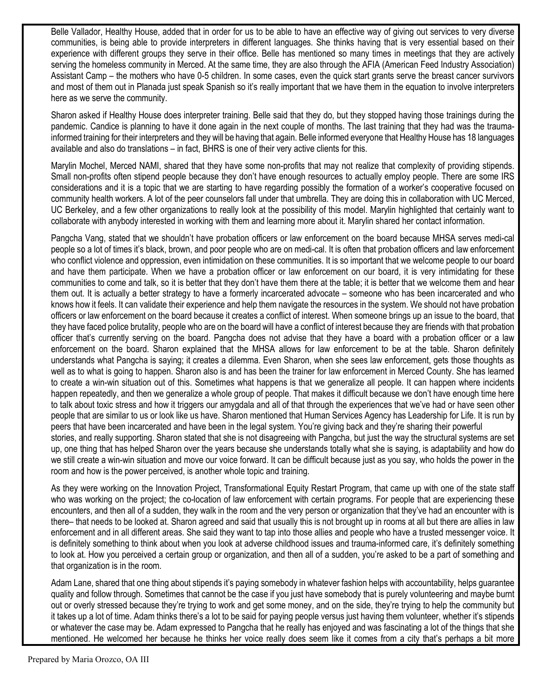Belle Vallador, Healthy House, added that in order for us to be able to have an effective way of giving out services to very diverse communities, is being able to provide interpreters in different languages. She thinks having that is very essential based on their experience with different groups they serve in their office. Belle has mentioned so many times in meetings that they are actively serving the homeless community in Merced. At the same time, they are also through the AFIA (American Feed Industry Association) Assistant Camp – the mothers who have 0-5 children. In some cases, even the quick start grants serve the breast cancer survivors and most of them out in Planada just speak Spanish so it's really important that we have them in the equation to involve interpreters here as we serve the community.

Sharon asked if Healthy House does interpreter training. Belle said that they do, but they stopped having those trainings during the pandemic. Candice is planning to have it done again in the next couple of months. The last training that they had was the traumainformed training for their interpreters and they will be having that again. Belle informed everyone that Healthy House has 18 languages available and also do translations – in fact, BHRS is one of their very active clients for this.

Marylin Mochel, Merced NAMI, shared that they have some non-profits that may not realize that complexity of providing stipends. Small non-profits often stipend people because they don't have enough resources to actually employ people. There are some IRS considerations and it is a topic that we are starting to have regarding possibly the formation of a worker's cooperative focused on community health workers. A lot of the peer counselors fall under that umbrella. They are doing this in collaboration with UC Merced, UC Berkeley, and a few other organizations to really look at the possibility of this model. Marylin highlighted that certainly want to collaborate with anybody interested in working with them and learning more about it. Marylin shared her contact information.

Pangcha Vang, stated that we shouldn't have probation officers or law enforcement on the board because MHSA serves medi-cal people so a lot of times it's black, brown, and poor people who are on medi-cal. It is often that probation officers and law enforcement who conflict violence and oppression, even intimidation on these communities. It is so important that we welcome people to our board and have them participate. When we have a probation officer or law enforcement on our board, it is very intimidating for these communities to come and talk, so it is better that they don't have them there at the table; it is better that we welcome them and hear them out. It is actually a better strategy to have a formerly incarcerated advocate – someone who has been incarcerated and who knows how it feels. It can validate their experience and help them navigate the resources in the system. We should not have probation officers or law enforcement on the board because it creates a conflict of interest. When someone brings up an issue to the board, that they have faced police brutality, people who are on the board will have a conflict of interest because they are friends with that probation officer that's currently serving on the board. Pangcha does not advise that they have a board with a probation officer or a law enforcement on the board. Sharon explained that the MHSA allows for law enforcement to be at the table. Sharon definitely understands what Pangcha is saying; it creates a dilemma. Even Sharon, when she sees law enforcement, gets those thoughts as well as to what is going to happen. Sharon also is and has been the trainer for law enforcement in Merced County. She has learned to create a win-win situation out of this. Sometimes what happens is that we generalize all people. It can happen where incidents happen repeatedly, and then we generalize a whole group of people. That makes it difficult because we don't have enough time here to talk about toxic stress and how it triggers our amygdala and all of that through the experiences that we've had or have seen other people that are similar to us or look like us have. Sharon mentioned that Human Services Agency has Leadership for Life. It is run by peers that have been incarcerated and have been in the legal system. You're giving back and they're sharing their powerful stories, and really supporting. Sharon stated that she is not disagreeing with Pangcha, but just the way the structural systems are set up, one thing that has helped Sharon over the years because she understands totally what she is saying, is adaptability and how do we still create a win-win situation and move our voice forward. It can be difficult because just as you say, who holds the power in the room and how is the power perceived, is another whole topic and training.

As they were working on the Innovation Project, Transformational Equity Restart Program, that came up with one of the state staff who was working on the project; the co-location of law enforcement with certain programs. For people that are experiencing these encounters, and then all of a sudden, they walk in the room and the very person or organization that they've had an encounter with is there– that needs to be looked at. Sharon agreed and said that usually this is not brought up in rooms at all but there are allies in law enforcement and in all different areas. She said they want to tap into those allies and people who have a trusted messenger voice. It is definitely something to think about when you look at adverse childhood issues and trauma-informed care, it's definitely something to look at. How you perceived a certain group or organization, and then all of a sudden, you're asked to be a part of something and that organization is in the room.

Adam Lane, shared that one thing about stipends it's paying somebody in whatever fashion helps with accountability, helps guarantee quality and follow through. Sometimes that cannot be the case if you just have somebody that is purely volunteering and maybe burnt out or overly stressed because they're trying to work and get some money, and on the side, they're trying to help the community but it takes up a lot of time. Adam thinks there's a lot to be said for paying people versus just having them volunteer, whether it's stipends or whatever the case may be. Adam expressed to Pangcha that he really has enjoyed and was fascinating a lot of the things that she mentioned. He welcomed her because he thinks her voice really does seem like it comes from a city that's perhaps a bit more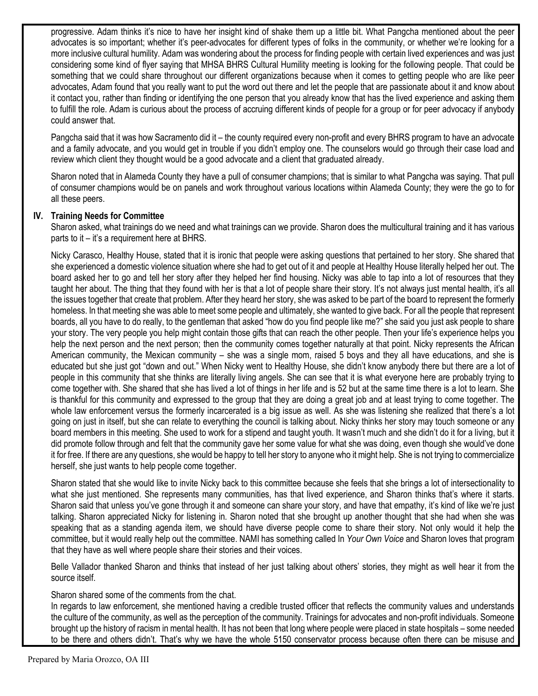progressive. Adam thinks it's nice to have her insight kind of shake them up a little bit. What Pangcha mentioned about the peer advocates is so important; whether it's peer-advocates for different types of folks in the community, or whether we're looking for a more inclusive cultural humility. Adam was wondering about the process for finding people with certain lived experiences and was just considering some kind of flyer saying that MHSA BHRS Cultural Humility meeting is looking for the following people. That could be something that we could share throughout our different organizations because when it comes to getting people who are like peer advocates, Adam found that you really want to put the word out there and let the people that are passionate about it and know about it contact you, rather than finding or identifying the one person that you already know that has the lived experience and asking them to fulfill the role. Adam is curious about the process of accruing different kinds of people for a group or for peer advocacy if anybody could answer that.

Pangcha said that it was how Sacramento did it – the county required every non-profit and every BHRS program to have an advocate and a family advocate, and you would get in trouble if you didn't employ one. The counselors would go through their case load and review which client they thought would be a good advocate and a client that graduated already.

Sharon noted that in Alameda County they have a pull of consumer champions; that is similar to what Pangcha was saying. That pull of consumer champions would be on panels and work throughout various locations within Alameda County; they were the go to for all these peers.

### **IV. Training Needs for Committee**

Sharon asked, what trainings do we need and what trainings can we provide. Sharon does the multicultural training and it has various parts to it – it's a requirement here at BHRS.

Nicky Carasco, Healthy House, stated that it is ironic that people were asking questions that pertained to her story. She shared that she experienced a domestic violence situation where she had to get out of it and people at Healthy House literally helped her out. The board asked her to go and tell her story after they helped her find housing. Nicky was able to tap into a lot of resources that they taught her about. The thing that they found with her is that a lot of people share their story. It's not always just mental health, it's all the issues together that create that problem. After they heard her story, she was asked to be part of the board to represent the formerly homeless. In that meeting she was able to meet some people and ultimately, she wanted to give back. For all the people that represent boards, all you have to do really, to the gentleman that asked "how do you find people like me?" she said you just ask people to share your story. The very people you help might contain those gifts that can reach the other people. Then your life's experience helps you help the next person and the next person; then the community comes together naturally at that point. Nicky represents the African American community, the Mexican community – she was a single mom, raised 5 boys and they all have educations, and she is educated but she just got "down and out." When Nicky went to Healthy House, she didn't know anybody there but there are a lot of people in this community that she thinks are literally living angels. She can see that it is what everyone here are probably trying to come together with. She shared that she has lived a lot of things in her life and is 52 but at the same time there is a lot to learn. She is thankful for this community and expressed to the group that they are doing a great job and at least trying to come together. The whole law enforcement versus the formerly incarcerated is a big issue as well. As she was listening she realized that there's a lot going on just in itself, but she can relate to everything the council is talking about. Nicky thinks her story may touch someone or any board members in this meeting. She used to work for a stipend and taught youth. It wasn't much and she didn't do it for a living, but it did promote follow through and felt that the community gave her some value for what she was doing, even though she would've done it for free. If there are any questions, she would be happy to tell her story to anyone who it might help. She is not trying to commercialize herself, she just wants to help people come together.

Sharon stated that she would like to invite Nicky back to this committee because she feels that she brings a lot of intersectionality to what she just mentioned. She represents many communities, has that lived experience, and Sharon thinks that's where it starts. Sharon said that unless you've gone through it and someone can share your story, and have that empathy, it's kind of like we're just talking. Sharon appreciated Nicky for listening in. Sharon noted that she brought up another thought that she had when she was speaking that as a standing agenda item, we should have diverse people come to share their story. Not only would it help the committee, but it would really help out the committee. NAMI has something called In *Your Own Voice* and Sharon loves that program that they have as well where people share their stories and their voices.

Belle Vallador thanked Sharon and thinks that instead of her just talking about others' stories, they might as well hear it from the source itself.

Sharon shared some of the comments from the chat.

In regards to law enforcement, she mentioned having a credible trusted officer that reflects the community values and understands the culture of the community, as well as the perception of the community. Trainings for advocates and non-profit individuals. Someone brought up the history of racism in mental health. It has not been that long where people were placed in state hospitals – some needed to be there and others didn't. That's why we have the whole 5150 conservator process because often there can be misuse and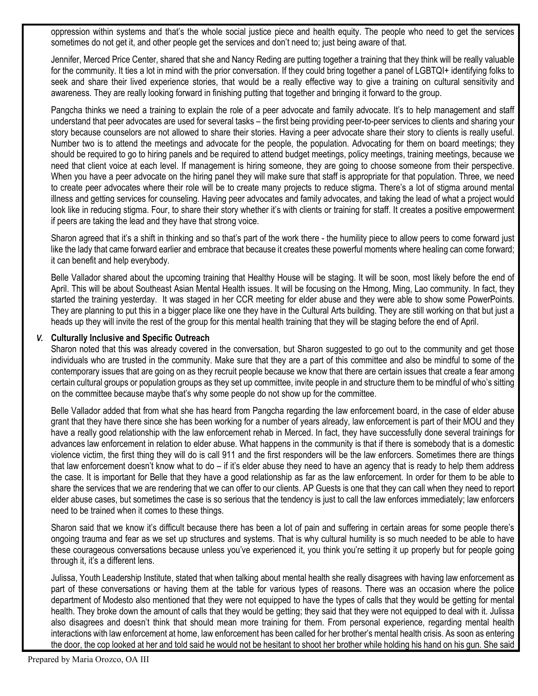oppression within systems and that's the whole social justice piece and health equity. The people who need to get the services sometimes do not get it, and other people get the services and don't need to; just being aware of that.

Jennifer, Merced Price Center, shared that she and Nancy Reding are putting together a training that they think will be really valuable for the community. It ties a lot in mind with the prior conversation. If they could bring together a panel of LGBTQI+ identifying folks to seek and share their lived experience stories, that would be a really effective way to give a training on cultural sensitivity and awareness. They are really looking forward in finishing putting that together and bringing it forward to the group.

Pangcha thinks we need a training to explain the role of a peer advocate and family advocate. It's to help management and staff understand that peer advocates are used for several tasks – the first being providing peer-to-peer services to clients and sharing your story because counselors are not allowed to share their stories. Having a peer advocate share their story to clients is really useful. Number two is to attend the meetings and advocate for the people, the population. Advocating for them on board meetings; they should be required to go to hiring panels and be required to attend budget meetings, policy meetings, training meetings, because we need that client voice at each level. If management is hiring someone, they are going to choose someone from their perspective. When you have a peer advocate on the hiring panel they will make sure that staff is appropriate for that population. Three, we need to create peer advocates where their role will be to create many projects to reduce stigma. There's a lot of stigma around mental illness and getting services for counseling. Having peer advocates and family advocates, and taking the lead of what a project would look like in reducing stigma. Four, to share their story whether it's with clients or training for staff. It creates a positive empowerment if peers are taking the lead and they have that strong voice.

Sharon agreed that it's a shift in thinking and so that's part of the work there - the humility piece to allow peers to come forward just like the lady that came forward earlier and embrace that because it creates these powerful moments where healing can come forward; it can benefit and help everybody.

Belle Vallador shared about the upcoming training that Healthy House will be staging. It will be soon, most likely before the end of April. This will be about Southeast Asian Mental Health issues. It will be focusing on the Hmong, Ming, Lao community. In fact, they started the training yesterday. It was staged in her CCR meeting for elder abuse and they were able to show some PowerPoints. They are planning to put this in a bigger place like one they have in the Cultural Arts building. They are still working on that but just a heads up they will invite the rest of the group for this mental health training that they will be staging before the end of April.

#### *V.* **Culturally Inclusive and Specific Outreach**

Sharon noted that this was already covered in the conversation, but Sharon suggested to go out to the community and get those individuals who are trusted in the community. Make sure that they are a part of this committee and also be mindful to some of the contemporary issues that are going on as they recruit people because we know that there are certain issues that create a fear among certain cultural groups or population groups as they set up committee, invite people in and structure them to be mindful of who's sitting on the committee because maybe that's why some people do not show up for the committee.

Belle Vallador added that from what she has heard from Pangcha regarding the law enforcement board, in the case of elder abuse grant that they have there since she has been working for a number of years already, law enforcement is part of their MOU and they have a really good relationship with the law enforcement rehab in Merced. In fact, they have successfully done several trainings for advances law enforcement in relation to elder abuse. What happens in the community is that if there is somebody that is a domestic violence victim, the first thing they will do is call 911 and the first responders will be the law enforcers. Sometimes there are things that law enforcement doesn't know what to do – if it's elder abuse they need to have an agency that is ready to help them address the case. It is important for Belle that they have a good relationship as far as the law enforcement. In order for them to be able to share the services that we are rendering that we can offer to our clients. AP Guests is one that they can call when they need to report elder abuse cases, but sometimes the case is so serious that the tendency is just to call the law enforces immediately; law enforcers need to be trained when it comes to these things.

Sharon said that we know it's difficult because there has been a lot of pain and suffering in certain areas for some people there's ongoing trauma and fear as we set up structures and systems. That is why cultural humility is so much needed to be able to have these courageous conversations because unless you've experienced it, you think you're setting it up properly but for people going through it, it's a different lens.

Julissa, Youth Leadership Institute, stated that when talking about mental health she really disagrees with having law enforcement as part of these conversations or having them at the table for various types of reasons. There was an occasion where the police department of Modesto also mentioned that they were not equipped to have the types of calls that they would be getting for mental health. They broke down the amount of calls that they would be getting; they said that they were not equipped to deal with it. Julissa also disagrees and doesn't think that should mean more training for them. From personal experience, regarding mental health interactions with law enforcement at home, law enforcement has been called for her brother's mental health crisis. As soon as entering the door, the cop looked at her and told said he would not be hesitant to shoot her brother while holding his hand on his gun. She said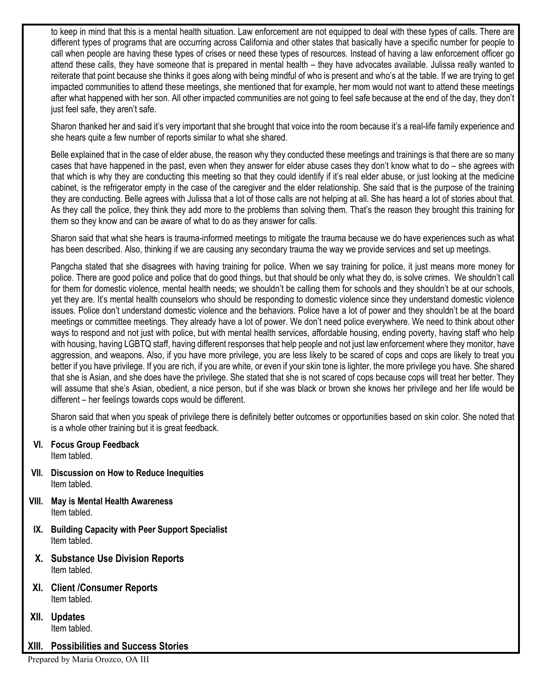to keep in mind that this is a mental health situation. Law enforcement are not equipped to deal with these types of calls. There are different types of programs that are occurring across California and other states that basically have a specific number for people to call when people are having these types of crises or need these types of resources. Instead of having a law enforcement officer go attend these calls, they have someone that is prepared in mental health – they have advocates available. Julissa really wanted to reiterate that point because she thinks it goes along with being mindful of who is present and who's at the table. If we are trying to get impacted communities to attend these meetings, she mentioned that for example, her mom would not want to attend these meetings after what happened with her son. All other impacted communities are not going to feel safe because at the end of the day, they don't just feel safe, they aren't safe.

Sharon thanked her and said it's very important that she brought that voice into the room because it's a real-life family experience and she hears quite a few number of reports similar to what she shared.

Belle explained that in the case of elder abuse, the reason why they conducted these meetings and trainings is that there are so many cases that have happened in the past, even when they answer for elder abuse cases they don't know what to do – she agrees with that which is why they are conducting this meeting so that they could identify if it's real elder abuse, or just looking at the medicine cabinet, is the refrigerator empty in the case of the caregiver and the elder relationship. She said that is the purpose of the training they are conducting. Belle agrees with Julissa that a lot of those calls are not helping at all. She has heard a lot of stories about that. As they call the police, they think they add more to the problems than solving them. That's the reason they brought this training for them so they know and can be aware of what to do as they answer for calls.

Sharon said that what she hears is trauma-informed meetings to mitigate the trauma because we do have experiences such as what has been described. Also, thinking if we are causing any secondary trauma the way we provide services and set up meetings.

Pangcha stated that she disagrees with having training for police. When we say training for police, it just means more money for police. There are good police and police that do good things, but that should be only what they do, is solve crimes. We shouldn't call for them for domestic violence, mental health needs; we shouldn't be calling them for schools and they shouldn't be at our schools, yet they are. It's mental health counselors who should be responding to domestic violence since they understand domestic violence issues. Police don't understand domestic violence and the behaviors. Police have a lot of power and they shouldn't be at the board meetings or committee meetings. They already have a lot of power. We don't need police everywhere. We need to think about other ways to respond and not just with police, but with mental health services, affordable housing, ending poverty, having staff who help with housing, having LGBTQ staff, having different responses that help people and not just law enforcement where they monitor, have aggression, and weapons. Also, if you have more privilege, you are less likely to be scared of cops and cops are likely to treat you better if you have privilege. If you are rich, if you are white, or even if your skin tone is lighter, the more privilege you have. She shared that she is Asian, and she does have the privilege. She stated that she is not scared of cops because cops will treat her better. They will assume that she's Asian, obedient, a nice person, but if she was black or brown she knows her privilege and her life would be different – her feelings towards cops would be different.

Sharon said that when you speak of privilege there is definitely better outcomes or opportunities based on skin color. She noted that is a whole other training but it is great feedback.

- **VI. Focus Group Feedback** Item tabled.
- **VII. Discussion on How to Reduce Inequities** Item tabled.
- **VIII. May is Mental Health Awareness** Item tabled.
- **IX. Building Capacity with Peer Support Specialist** Item tabled.
- **X. Substance Use Division Reports** Item tabled.
- **XI. Client /Consumer Reports** Item tabled.
- **XII. Updates** Item tabled.

# **XIII. Possibilities and Success Stories**

Prepared by Maria Orozco, OA III